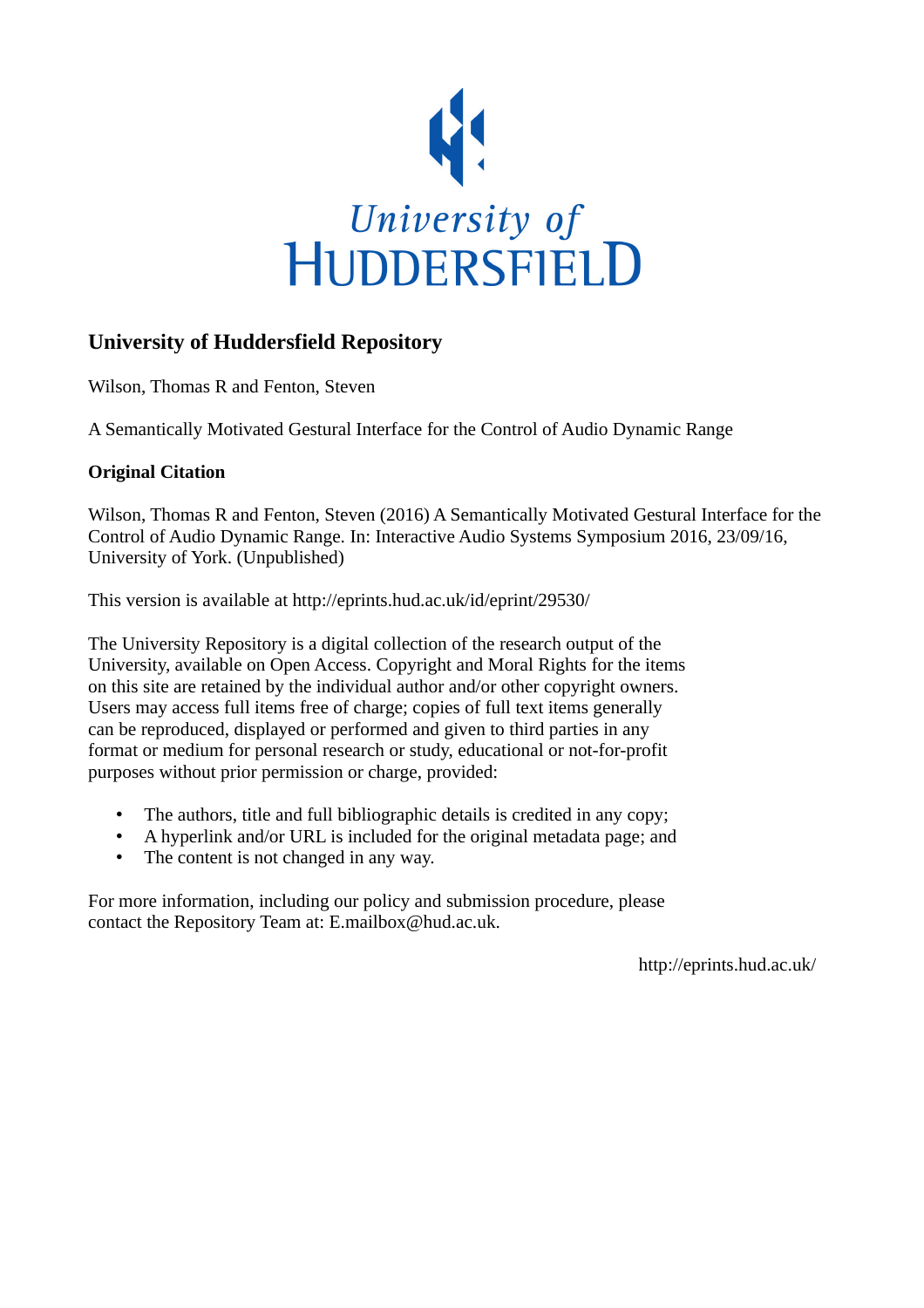

# **University of Huddersfield Repository**

Wilson, Thomas R and Fenton, Steven

A Semantically Motivated Gestural Interface for the Control of Audio Dynamic Range

## **Original Citation**

Wilson, Thomas R and Fenton, Steven (2016) A Semantically Motivated Gestural Interface for the Control of Audio Dynamic Range. In: Interactive Audio Systems Symposium 2016, 23/09/16, University of York. (Unpublished)

This version is available at http://eprints.hud.ac.uk/id/eprint/29530/

The University Repository is a digital collection of the research output of the University, available on Open Access. Copyright and Moral Rights for the items on this site are retained by the individual author and/or other copyright owners. Users may access full items free of charge; copies of full text items generally can be reproduced, displayed or performed and given to third parties in any format or medium for personal research or study, educational or not-for-profit purposes without prior permission or charge, provided:

- The authors, title and full bibliographic details is credited in any copy;
- A hyperlink and/or URL is included for the original metadata page; and
- The content is not changed in any way.

For more information, including our policy and submission procedure, please contact the Repository Team at: E.mailbox@hud.ac.uk.

http://eprints.hud.ac.uk/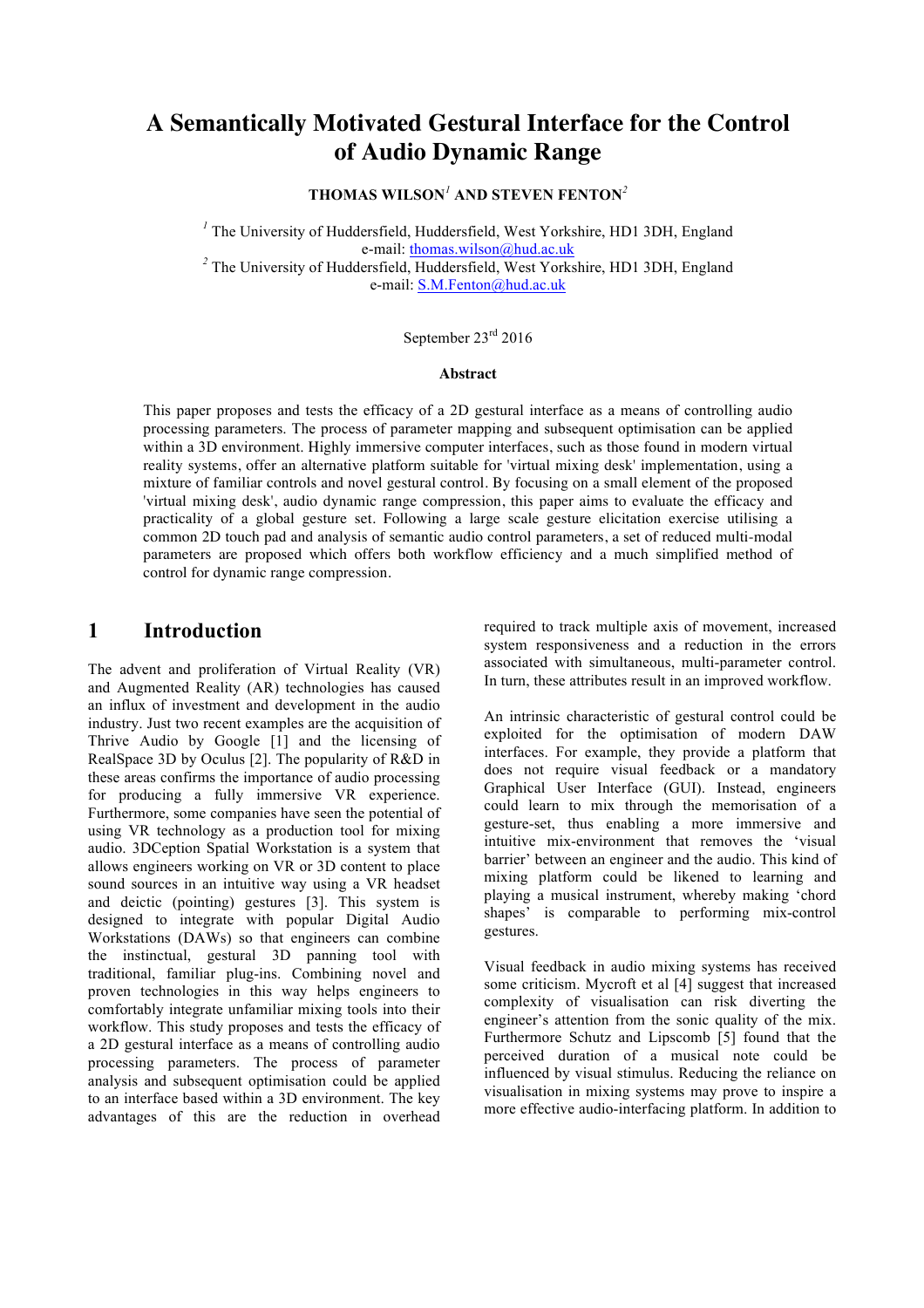# **A Semantically Motivated Gestural Interface for the Control of Audio Dynamic Range**

**THOMAS WILSON***<sup>1</sup>* **AND STEVEN FENTON***<sup>2</sup>*

*<sup>1</sup>* The University of Huddersfield, Huddersfield, West Yorkshire, HD1 3DH, England e-mail: thomas.wilson@hud.ac.uk<br><sup>2</sup> The University of Huddersfield, Huddersfield, West Yorkshire, HD1 3DH, England

e-mail: S.M.Fenton@hud.ac.uk

## September 23rd 2016

#### **Abstract**

This paper proposes and tests the efficacy of a 2D gestural interface as a means of controlling audio processing parameters. The process of parameter mapping and subsequent optimisation can be applied within a 3D environment. Highly immersive computer interfaces, such as those found in modern virtual reality systems, offer an alternative platform suitable for 'virtual mixing desk' implementation, using a mixture of familiar controls and novel gestural control. By focusing on a small element of the proposed 'virtual mixing desk', audio dynamic range compression, this paper aims to evaluate the efficacy and practicality of a global gesture set. Following a large scale gesture elicitation exercise utilising a common 2D touch pad and analysis of semantic audio control parameters, a set of reduced multi-modal parameters are proposed which offers both workflow efficiency and a much simplified method of control for dynamic range compression.

## **1 Introduction**

The advent and proliferation of Virtual Reality (VR) and Augmented Reality (AR) technologies has caused an influx of investment and development in the audio industry. Just two recent examples are the acquisition of Thrive Audio by Google [1] and the licensing of RealSpace 3D by Oculus [2]. The popularity of R&D in these areas confirms the importance of audio processing for producing a fully immersive VR experience. Furthermore, some companies have seen the potential of using VR technology as a production tool for mixing audio. 3DCeption Spatial Workstation is a system that allows engineers working on VR or 3D content to place sound sources in an intuitive way using a VR headset and deictic (pointing) gestures [3]. This system is designed to integrate with popular Digital Audio Workstations (DAWs) so that engineers can combine the instinctual, gestural 3D panning tool with traditional, familiar plug-ins. Combining novel and proven technologies in this way helps engineers to comfortably integrate unfamiliar mixing tools into their workflow. This study proposes and tests the efficacy of a 2D gestural interface as a means of controlling audio processing parameters. The process of parameter analysis and subsequent optimisation could be applied to an interface based within a 3D environment. The key advantages of this are the reduction in overhead required to track multiple axis of movement, increased system responsiveness and a reduction in the errors associated with simultaneous, multi-parameter control. In turn, these attributes result in an improved workflow.

An intrinsic characteristic of gestural control could be exploited for the optimisation of modern DAW interfaces. For example, they provide a platform that does not require visual feedback or a mandatory Graphical User Interface (GUI). Instead, engineers could learn to mix through the memorisation of a gesture-set, thus enabling a more immersive and intuitive mix-environment that removes the 'visual barrier' between an engineer and the audio. This kind of mixing platform could be likened to learning and playing a musical instrument, whereby making 'chord shapes' is comparable to performing mix-control gestures.

Visual feedback in audio mixing systems has received some criticism. Mycroft et al [4] suggest that increased complexity of visualisation can risk diverting the engineer's attention from the sonic quality of the mix. Furthermore Schutz and Lipscomb [5] found that the perceived duration of a musical note could be influenced by visual stimulus. Reducing the reliance on visualisation in mixing systems may prove to inspire a more effective audio-interfacing platform. In addition to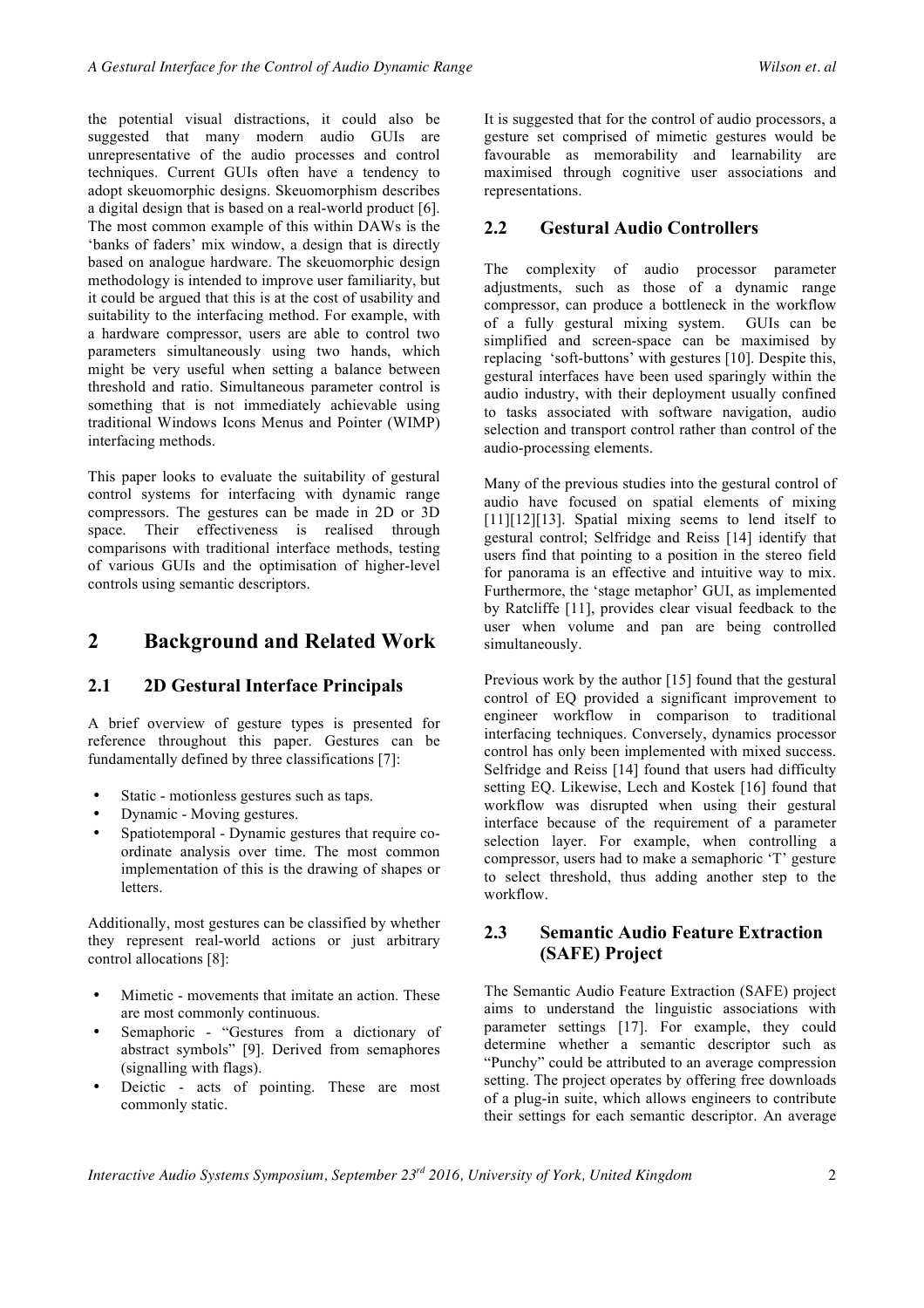the potential visual distractions, it could also be suggested that many modern audio GUIs are unrepresentative of the audio processes and control techniques. Current GUIs often have a tendency to adopt skeuomorphic designs. Skeuomorphism describes a digital design that is based on a real-world product [6]. The most common example of this within DAWs is the 'banks of faders' mix window, a design that is directly based on analogue hardware. The skeuomorphic design methodology is intended to improve user familiarity, but it could be argued that this is at the cost of usability and suitability to the interfacing method. For example, with a hardware compressor, users are able to control two parameters simultaneously using two hands, which might be very useful when setting a balance between threshold and ratio. Simultaneous parameter control is something that is not immediately achievable using traditional Windows Icons Menus and Pointer (WIMP) interfacing methods.

This paper looks to evaluate the suitability of gestural control systems for interfacing with dynamic range compressors. The gestures can be made in 2D or 3D space. Their effectiveness is realised through comparisons with traditional interface methods, testing of various GUIs and the optimisation of higher-level controls using semantic descriptors.

## **2 Background and Related Work**

#### **2.1 2D Gestural Interface Principals**

A brief overview of gesture types is presented for reference throughout this paper. Gestures can be fundamentally defined by three classifications [7]:

- Static motionless gestures such as taps.
- Dynamic Moving gestures.
- Spatiotemporal Dynamic gestures that require coordinate analysis over time. The most common implementation of this is the drawing of shapes or letters.

Additionally, most gestures can be classified by whether they represent real-world actions or just arbitrary control allocations [8]:

- Mimetic movements that imitate an action. These are most commonly continuous.
- Semaphoric "Gestures from a dictionary of abstract symbols" [9]. Derived from semaphores (signalling with flags).
- Deictic acts of pointing. These are most commonly static.

It is suggested that for the control of audio processors, a gesture set comprised of mimetic gestures would be favourable as memorability and learnability are maximised through cognitive user associations and representations.

#### **2.2 Gestural Audio Controllers**

The complexity of audio processor parameter adjustments, such as those of a dynamic range compressor, can produce a bottleneck in the workflow of a fully gestural mixing system. GUIs can be simplified and screen-space can be maximised by replacing 'soft-buttons' with gestures [10]. Despite this, gestural interfaces have been used sparingly within the audio industry, with their deployment usually confined to tasks associated with software navigation, audio selection and transport control rather than control of the audio-processing elements.

Many of the previous studies into the gestural control of audio have focused on spatial elements of mixing [11][12][13]. Spatial mixing seems to lend itself to gestural control; Selfridge and Reiss [14] identify that users find that pointing to a position in the stereo field for panorama is an effective and intuitive way to mix. Furthermore, the 'stage metaphor' GUI, as implemented by Ratcliffe [11], provides clear visual feedback to the user when volume and pan are being controlled simultaneously.

Previous work by the author [15] found that the gestural control of EQ provided a significant improvement to engineer workflow in comparison to traditional interfacing techniques. Conversely, dynamics processor control has only been implemented with mixed success. Selfridge and Reiss [14] found that users had difficulty setting EQ. Likewise, Lech and Kostek [16] found that workflow was disrupted when using their gestural interface because of the requirement of a parameter selection layer. For example, when controlling a compressor, users had to make a semaphoric 'T' gesture to select threshold, thus adding another step to the workflow.

#### **2.3 Semantic Audio Feature Extraction (SAFE) Project**

The Semantic Audio Feature Extraction (SAFE) project aims to understand the linguistic associations with parameter settings [17]. For example, they could determine whether a semantic descriptor such as "Punchy" could be attributed to an average compression setting. The project operates by offering free downloads of a plug-in suite, which allows engineers to contribute their settings for each semantic descriptor. An average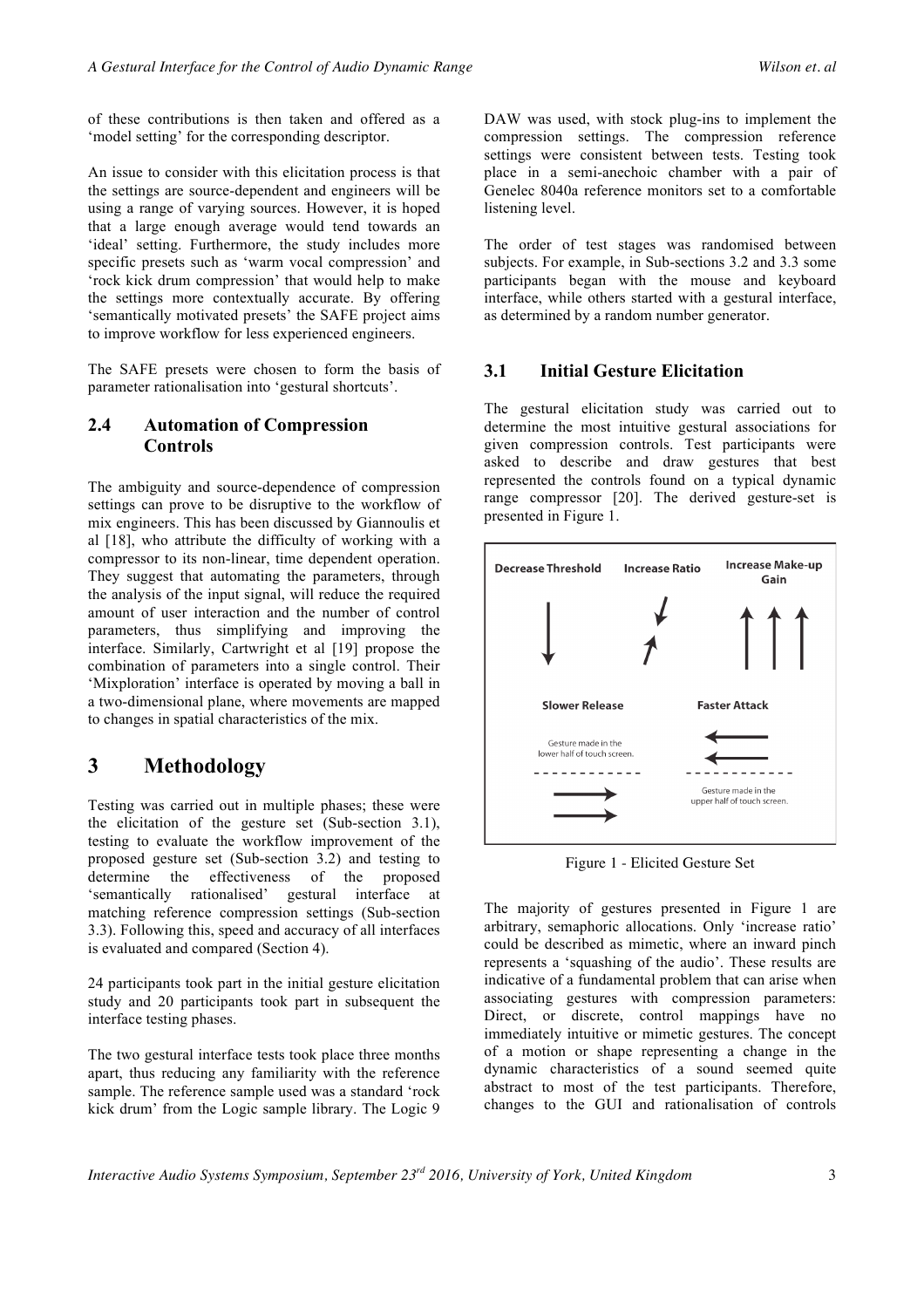of these contributions is then taken and offered as a 'model setting' for the corresponding descriptor.

An issue to consider with this elicitation process is that the settings are source-dependent and engineers will be using a range of varying sources. However, it is hoped that a large enough average would tend towards an 'ideal' setting. Furthermore, the study includes more specific presets such as 'warm vocal compression' and 'rock kick drum compression' that would help to make the settings more contextually accurate. By offering 'semantically motivated presets' the SAFE project aims to improve workflow for less experienced engineers.

The SAFE presets were chosen to form the basis of parameter rationalisation into 'gestural shortcuts'.

#### **2.4 Automation of Compression Controls**

The ambiguity and source-dependence of compression settings can prove to be disruptive to the workflow of mix engineers. This has been discussed by Giannoulis et al [18], who attribute the difficulty of working with a compressor to its non-linear, time dependent operation. They suggest that automating the parameters, through the analysis of the input signal, will reduce the required amount of user interaction and the number of control parameters, thus simplifying and improving the interface. Similarly, Cartwright et al [19] propose the combination of parameters into a single control. Their 'Mixploration' interface is operated by moving a ball in a two-dimensional plane, where movements are mapped to changes in spatial characteristics of the mix.

## **3 Methodology**

Testing was carried out in multiple phases; these were the elicitation of the gesture set (Sub-section 3.1), testing to evaluate the workflow improvement of the proposed gesture set (Sub-section 3.2) and testing to determine the effectiveness of the proposed 'semantically rationalised' gestural interface at matching reference compression settings (Sub-section 3.3). Following this, speed and accuracy of all interfaces is evaluated and compared (Section 4).

24 participants took part in the initial gesture elicitation study and 20 participants took part in subsequent the interface testing phases.

The two gestural interface tests took place three months apart, thus reducing any familiarity with the reference sample. The reference sample used was a standard 'rock kick drum' from the Logic sample library. The Logic 9

DAW was used, with stock plug-ins to implement the compression settings. The compression reference settings were consistent between tests. Testing took place in a semi-anechoic chamber with a pair of Genelec 8040a reference monitors set to a comfortable listening level.

The order of test stages was randomised between subjects. For example, in Sub-sections 3.2 and 3.3 some participants began with the mouse and keyboard interface, while others started with a gestural interface, as determined by a random number generator.

### **3.1 Initial Gesture Elicitation**

The gestural elicitation study was carried out to determine the most intuitive gestural associations for given compression controls. Test participants were asked to describe and draw gestures that best represented the controls found on a typical dynamic range compressor [20]. The derived gesture-set is presented in Figure 1.



Figure 1 - Elicited Gesture Set

The majority of gestures presented in Figure 1 are arbitrary, semaphoric allocations. Only 'increase ratio' could be described as mimetic, where an inward pinch represents a 'squashing of the audio'. These results are indicative of a fundamental problem that can arise when associating gestures with compression parameters: Direct, or discrete, control mappings have no immediately intuitive or mimetic gestures. The concept of a motion or shape representing a change in the dynamic characteristics of a sound seemed quite abstract to most of the test participants. Therefore, changes to the GUI and rationalisation of controls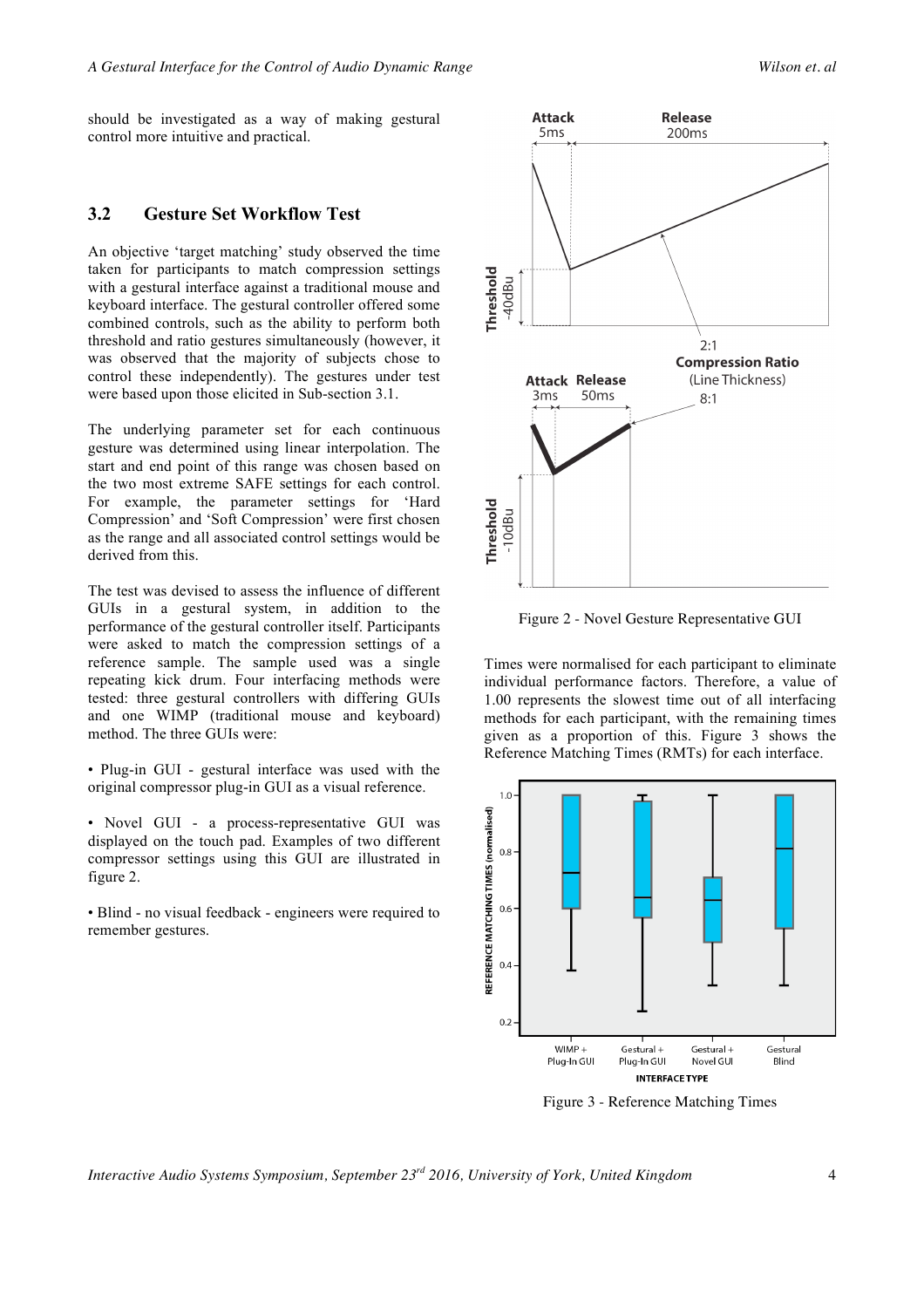should be investigated as a way of making gestural control more intuitive and practical.

#### **3.2 Gesture Set Workflow Test**

An objective 'target matching' study observed the time taken for participants to match compression settings with a gestural interface against a traditional mouse and keyboard interface. The gestural controller offered some combined controls, such as the ability to perform both threshold and ratio gestures simultaneously (however, it was observed that the majority of subjects chose to control these independently). The gestures under test were based upon those elicited in Sub-section 3.1.

The underlying parameter set for each continuous gesture was determined using linear interpolation. The start and end point of this range was chosen based on the two most extreme SAFE settings for each control. For example, the parameter settings for 'Hard Compression' and 'Soft Compression' were first chosen as the range and all associated control settings would be derived from this.

The test was devised to assess the influence of different GUIs in a gestural system, in addition to the performance of the gestural controller itself. Participants were asked to match the compression settings of a reference sample. The sample used was a single repeating kick drum. Four interfacing methods were tested: three gestural controllers with differing GUIs and one WIMP (traditional mouse and keyboard) method. The three GUIs were:

• Plug-in GUI - gestural interface was used with the original compressor plug-in GUI as a visual reference.

- Novel GUI a process-representative GUI was displayed on the touch pad. Examples of two different compressor settings using this GUI are illustrated in figure 2.
- Blind no visual feedback engineers were required to remember gestures.



Figure 2 - Novel Gesture Representative GUI

Times were normalised for each participant to eliminate individual performance factors. Therefore, a value of 1.00 represents the slowest time out of all interfacing methods for each participant, with the remaining times given as a proportion of this. Figure 3 shows the Reference Matching Times (RMTs) for each interface.



Figure 3 - Reference Matching Times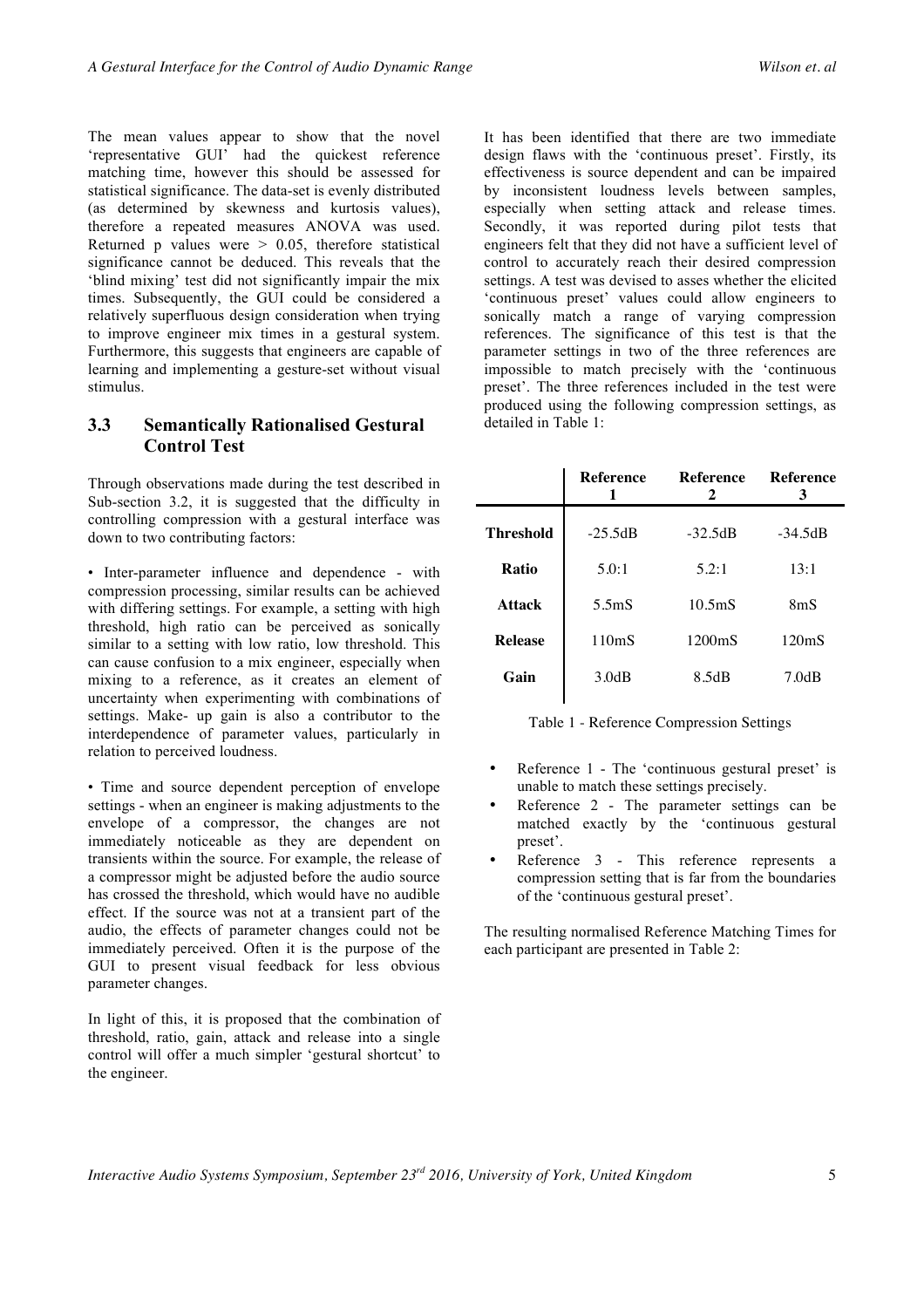The mean values appear to show that the novel 'representative GUI' had the quickest reference matching time, however this should be assessed for statistical significance. The data-set is evenly distributed (as determined by skewness and kurtosis values), therefore a repeated measures ANOVA was used. Returned p values were  $> 0.05$ , therefore statistical significance cannot be deduced. This reveals that the 'blind mixing' test did not significantly impair the mix times. Subsequently, the GUI could be considered a relatively superfluous design consideration when trying to improve engineer mix times in a gestural system. Furthermore, this suggests that engineers are capable of learning and implementing a gesture-set without visual stimulus.

### **3.3 Semantically Rationalised Gestural Control Test**

Through observations made during the test described in Sub-section 3.2, it is suggested that the difficulty in controlling compression with a gestural interface was down to two contributing factors:

• Inter-parameter influence and dependence - with compression processing, similar results can be achieved with differing settings. For example, a setting with high threshold, high ratio can be perceived as sonically similar to a setting with low ratio, low threshold. This can cause confusion to a mix engineer, especially when mixing to a reference, as it creates an element of uncertainty when experimenting with combinations of settings. Make- up gain is also a contributor to the interdependence of parameter values, particularly in relation to perceived loudness.

• Time and source dependent perception of envelope settings - when an engineer is making adjustments to the envelope of a compressor, the changes are not immediately noticeable as they are dependent on transients within the source. For example, the release of a compressor might be adjusted before the audio source has crossed the threshold, which would have no audible effect. If the source was not at a transient part of the audio, the effects of parameter changes could not be immediately perceived. Often it is the purpose of the GUI to present visual feedback for less obvious parameter changes.

In light of this, it is proposed that the combination of threshold, ratio, gain, attack and release into a single control will offer a much simpler 'gestural shortcut' to the engineer.

It has been identified that there are two immediate design flaws with the 'continuous preset'. Firstly, its effectiveness is source dependent and can be impaired by inconsistent loudness levels between samples, especially when setting attack and release times. Secondly, it was reported during pilot tests that engineers felt that they did not have a sufficient level of control to accurately reach their desired compression settings. A test was devised to asses whether the elicited 'continuous preset' values could allow engineers to sonically match a range of varying compression references. The significance of this test is that the parameter settings in two of the three references are impossible to match precisely with the 'continuous preset'. The three references included in the test were produced using the following compression settings, as detailed in Table 1:

|                  | Reference<br>1     | <b>Reference</b><br>2 | Reference<br>3     |
|------------------|--------------------|-----------------------|--------------------|
| <b>Threshold</b> | $-25.5dB$          | $-32.5dB$             | $-34.5dB$          |
| Ratio            | 5.0:1              | 5.2:1                 | 13:1               |
| <b>Attack</b>    | 5.5 <sub>m</sub> S | 10.5 <sub>m</sub> S   | 8 <sub>m</sub> S   |
| <b>Release</b>   | 110mS              | 1200 <sub>m</sub> S   | 120 <sub>m</sub> S |
| Gain             | 3.0dB              | 8.5dB                 | 7.0dB              |
|                  |                    |                       |                    |

Table 1 - Reference Compression Settings

- Reference 1 The 'continuous gestural preset' is unable to match these settings precisely.
- Reference 2 The parameter settings can be matched exactly by the 'continuous gestural preset'.
- Reference 3 This reference represents a compression setting that is far from the boundaries of the 'continuous gestural preset'.

The resulting normalised Reference Matching Times for each participant are presented in Table 2: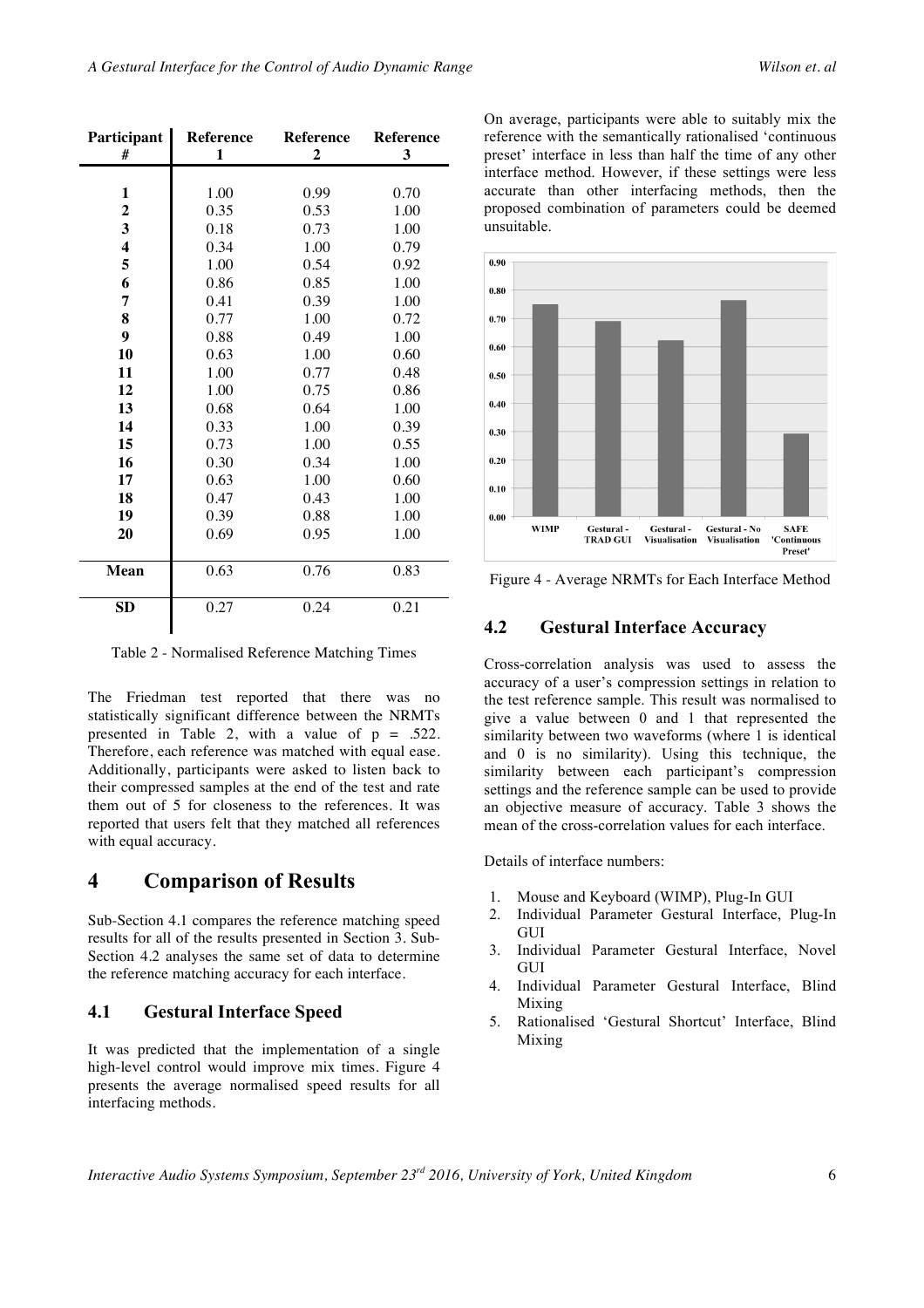| <b>Participant</b>      | <b>Reference</b> | <b>Reference</b> | <b>Reference</b> |
|-------------------------|------------------|------------------|------------------|
| #                       | 1                | 2                | 3                |
|                         |                  |                  |                  |
| 1                       | 1.00             | 0.99             | 0.70             |
| $\boldsymbol{2}$        | 0.35             | 0.53             | 1.00             |
| 3                       | 0.18             | 0.73             | 1.00             |
| $\overline{\mathbf{4}}$ | 0.34             | 1.00             | 0.79             |
| 5                       | 1.00             | 0.54             | 0.92             |
| 6                       | 0.86             | 0.85             | 1.00             |
| 7                       | 0.41             | 0.39             | 1.00             |
| 8                       | 0.77             | 1.00             | 0.72             |
| 9                       | 0.88             | 0.49             | 1.00             |
| 10                      | 0.63             | 1.00             | 0.60             |
| 11                      | 1.00             | 0.77             | 0.48             |
| 12                      | 1.00             | 0.75             | 0.86             |
| 13                      | 0.68             | 0.64             | 1.00             |
| 14                      | 0.33             | 1.00             | 0.39             |
| 15                      | 0.73             | 1.00             | 0.55             |
| 16                      | 0.30             | 0.34             | 1.00             |
| 17                      | 0.63             | 1.00             | 0.60             |
| 18                      | 0.47             | 0.43             | 1.00             |
| 19                      | 0.39             | 0.88             | 1.00             |
| 20                      | 0.69             | 0.95             | 1.00             |
|                         |                  |                  |                  |
| <b>Mean</b>             | 0.63             | 0.76             | 0.83             |
|                         |                  |                  |                  |
| <b>SD</b>               | 0.27             | 0.24             | 0.21             |

Table 2 - Normalised Reference Matching Times

The Friedman test reported that there was no statistically significant difference between the NRMTs presented in Table 2, with a value of  $p = .522$ . Therefore, each reference was matched with equal ease. Additionally, participants were asked to listen back to their compressed samples at the end of the test and rate them out of 5 for closeness to the references. It was reported that users felt that they matched all references with equal accuracy.

### **4 Comparison of Results**

Sub-Section 4.1 compares the reference matching speed results for all of the results presented in Section 3. Sub-Section 4.2 analyses the same set of data to determine the reference matching accuracy for each interface.

#### **4.1 Gestural Interface Speed**

It was predicted that the implementation of a single high-level control would improve mix times. Figure 4 presents the average normalised speed results for all interfacing methods.

On average, participants were able to suitably mix the reference with the semantically rationalised 'continuous preset' interface in less than half the time of any other interface method. However, if these settings were less accurate than other interfacing methods, then the proposed combination of parameters could be deemed unsuitable.



Figure 4 - Average NRMTs for Each Interface Method

#### **4.2 Gestural Interface Accuracy**

Cross-correlation analysis was used to assess the accuracy of a user's compression settings in relation to the test reference sample. This result was normalised to give a value between 0 and 1 that represented the similarity between two waveforms (where 1 is identical and 0 is no similarity). Using this technique, the similarity between each participant's compression settings and the reference sample can be used to provide an objective measure of accuracy. Table 3 shows the mean of the cross-correlation values for each interface.

Details of interface numbers:

- 1. Mouse and Keyboard (WIMP), Plug-In GUI
- 2. Individual Parameter Gestural Interface, Plug-In **GUI**
- 3. Individual Parameter Gestural Interface, Novel **GUI**
- 4. Individual Parameter Gestural Interface, Blind Mixing
- 5. Rationalised 'Gestural Shortcut' Interface, Blind Mixing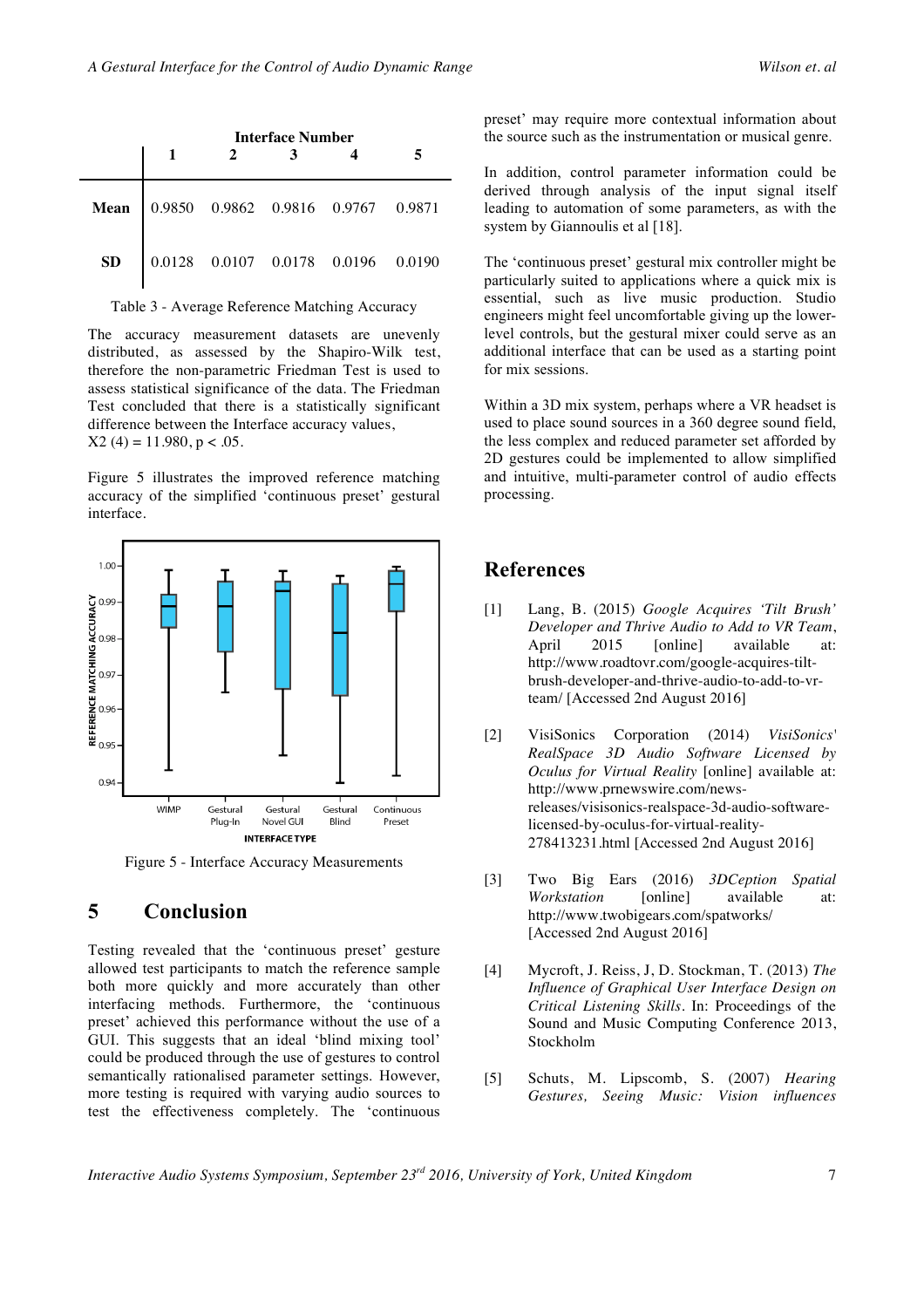|    | <b>Interface Number</b> |  |  |                                                              |  |
|----|-------------------------|--|--|--------------------------------------------------------------|--|
|    |                         |  |  | Mean 0.9850 0.9862 0.9816 0.9767 0.9871                      |  |
| SD |                         |  |  | $0.0128 \quad 0.0107 \quad 0.0178 \quad 0.0196 \quad 0.0190$ |  |

Table 3 - Average Reference Matching Accuracy

The accuracy measurement datasets are unevenly distributed, as assessed by the Shapiro-Wilk test, therefore the non-parametric Friedman Test is used to assess statistical significance of the data. The Friedman Test concluded that there is a statistically significant difference between the Interface accuracy values,  $X2(4) = 11.980, p < .05.$ 

Figure 5 illustrates the improved reference matching accuracy of the simplified 'continuous preset' gestural interface.



Figure 5 - Interface Accuracy Measurements

## **5 Conclusion**

Testing revealed that the 'continuous preset' gesture allowed test participants to match the reference sample both more quickly and more accurately than other interfacing methods. Furthermore, the 'continuous preset' achieved this performance without the use of a GUI. This suggests that an ideal 'blind mixing tool' could be produced through the use of gestures to control semantically rationalised parameter settings. However, more testing is required with varying audio sources to test the effectiveness completely. The 'continuous

preset' may require more contextual information about the source such as the instrumentation or musical genre.

In addition, control parameter information could be derived through analysis of the input signal itself leading to automation of some parameters, as with the system by Giannoulis et al [18].

The 'continuous preset' gestural mix controller might be particularly suited to applications where a quick mix is essential, such as live music production. Studio engineers might feel uncomfortable giving up the lowerlevel controls, but the gestural mixer could serve as an additional interface that can be used as a starting point for mix sessions.

Within a 3D mix system, perhaps where a VR headset is used to place sound sources in a 360 degree sound field, the less complex and reduced parameter set afforded by 2D gestures could be implemented to allow simplified and intuitive, multi-parameter control of audio effects processing.

## **References**

- [1] Lang, B. (2015) *Google Acquires 'Tilt Brush' Developer and Thrive Audio to Add to VR Team*, April 2015 [online] available at: http://www.roadtovr.com/google-acquires-tiltbrush-developer-and-thrive-audio-to-add-to-vrteam/ [Accessed 2nd August 2016]
- [2] VisiSonics Corporation (2014) *VisiSonics' RealSpace 3D Audio Software Licensed by Oculus for Virtual Reality* [online] available at: http://www.prnewswire.com/newsreleases/visisonics-realspace-3d-audio-softwarelicensed-by-oculus-for-virtual-reality-278413231.html [Accessed 2nd August 2016]
- [3] Two Big Ears (2016) *3DCeption Spatial Workstation* [online] available at: http://www.twobigears.com/spatworks/ [Accessed 2nd August 2016]
- [4] Mycroft, J. Reiss, J, D. Stockman, T. (2013) *The Influence of Graphical User Interface Design on Critical Listening Skills*. In: Proceedings of the Sound and Music Computing Conference 2013, Stockholm
- [5] Schuts, M. Lipscomb, S. (2007) *Hearing Gestures, Seeing Music: Vision influences*